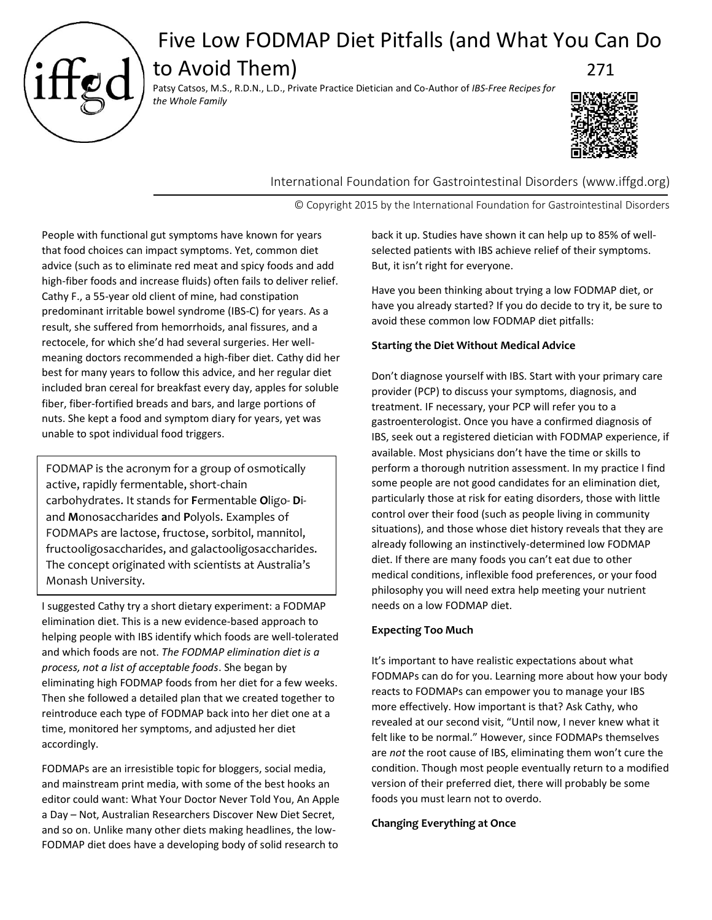

# Five Low FODMAP Diet Pitfalls (and What You Can Do

to Avoid Them) 271 Patsy Catsos, M.S., R.D.N., L.D., Private Practice Dietician and Co-Author of *IBS-Free Recipes for* 



International Foundation for Gastrointestinal Disorders (www.iffgd.org)

© Copyright 2015 by the International Foundation for Gastrointestinal Disorders

People with functional gut symptoms have known for years that food choices can impact symptoms. Yet, common diet advice (such as to eliminate red meat and spicy foods and add high-fiber foods and increase fluids) often fails to deliver relief. Cathy F., a 55-year old client of mine, had constipation predominant irritable bowel syndrome (IBS-C) for years. As a result, she suffered from hemorrhoids, anal fissures, and a rectocele, for which she'd had several surgeries. Her wellmeaning doctors recommended a high-fiber diet. Cathy did her best for many years to follow this advice, and her regular diet included bran cereal for breakfast every day, apples for soluble fiber, fiber-fortified breads and bars, and large portions of nuts. She kept a food and symptom diary for years, yet was unable to spot individual food triggers.

FODMAP is the acronym for a group of osmotically active, rapidly fermentable, short-chain carbohydrates. It stands for **F**ermentable **O**ligo- **D**iand **M**onosaccharides **a**nd **P**olyols. Examples of FODMAPs are lactose, fructose, sorbitol, mannitol, fructooligosaccharides, and galactooligosaccharides. The concept originated with scientists at Australia's Monash University.

I suggested Cathy try a short dietary experiment: a FODMAP elimination diet. This is a new evidence-based approach to helping people with IBS identify which foods are well-tolerated and which foods are not. *The FODMAP elimination diet is a process, not a list of acceptable foods*. She began by eliminating high FODMAP foods from her diet for a few weeks. Then she followed a detailed plan that we created together to reintroduce each type of FODMAP back into her diet one at a time, monitored her symptoms, and adjusted her diet accordingly.

FODMAPs are an irresistible topic for bloggers, social media, and mainstream print media, with some of the best hooks an editor could want: What Your Doctor Never Told You, An Apple a Day – Not, Australian Researchers Discover New Diet Secret, and so on. Unlike many other diets making headlines, the low-FODMAP diet does have a developing body of solid research to

back it up. Studies have shown it can help up to 85% of wellselected patients with IBS achieve relief of their symptoms. But, it isn't right for everyone.

Have you been thinking about trying a low FODMAP diet, or have you already started? If you do decide to try it, be sure to avoid these common low FODMAP diet pitfalls:

# **Starting the Diet Without Medical Advice**

Don't diagnose yourself with IBS. Start with your primary care provider (PCP) to discuss your symptoms, diagnosis, and treatment. IF necessary, your PCP will refer you to a gastroenterologist. Once you have a confirmed diagnosis of IBS, seek out a registered dietician with FODMAP experience, if available. Most physicians don't have the time or skills to perform a thorough nutrition assessment. In my practice I find some people are not good candidates for an elimination diet, particularly those at risk for eating disorders, those with little control over their food (such as people living in community situations), and those whose diet history reveals that they are already following an instinctively-determined low FODMAP diet. If there are many foods you can't eat due to other medical conditions, inflexible food preferences, or your food philosophy you will need extra help meeting your nutrient needs on a low FODMAP diet.

# **Expecting Too Much**

It's important to have realistic expectations about what FODMAPs can do for you. Learning more about how your body reacts to FODMAPs can empower you to manage your IBS more effectively. How important is that? Ask Cathy, who revealed at our second visit, "Until now, I never knew what it felt like to be normal." However, since FODMAPs themselves are *not* the root cause of IBS, eliminating them won't cure the condition. Though most people eventually return to a modified version of their preferred diet, there will probably be some foods you must learn not to overdo.

# **Changing Everything at Once**